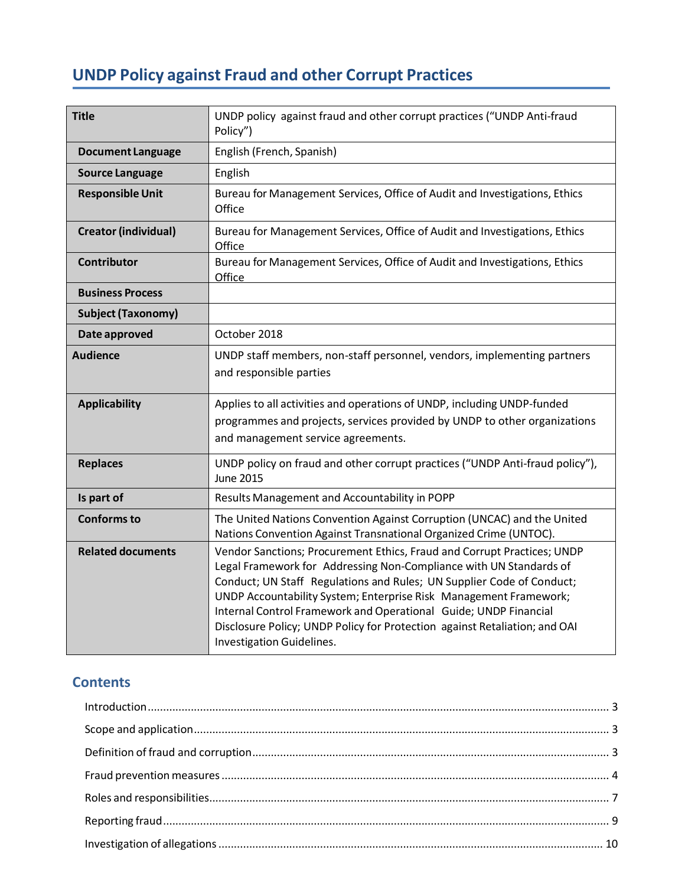# **UNDP Policy against Fraud and other Corrupt Practices**

| <b>Title</b>                | UNDP policy against fraud and other corrupt practices ("UNDP Anti-fraud<br>Policy")                                                                                                                                                                                                                                                                                                                                                                                        |  |
|-----------------------------|----------------------------------------------------------------------------------------------------------------------------------------------------------------------------------------------------------------------------------------------------------------------------------------------------------------------------------------------------------------------------------------------------------------------------------------------------------------------------|--|
| <b>Document Language</b>    | English (French, Spanish)                                                                                                                                                                                                                                                                                                                                                                                                                                                  |  |
| <b>Source Language</b>      | English                                                                                                                                                                                                                                                                                                                                                                                                                                                                    |  |
| <b>Responsible Unit</b>     | Bureau for Management Services, Office of Audit and Investigations, Ethics<br>Office                                                                                                                                                                                                                                                                                                                                                                                       |  |
| <b>Creator (individual)</b> | Bureau for Management Services, Office of Audit and Investigations, Ethics<br>Office                                                                                                                                                                                                                                                                                                                                                                                       |  |
| <b>Contributor</b>          | Bureau for Management Services, Office of Audit and Investigations, Ethics<br>Office                                                                                                                                                                                                                                                                                                                                                                                       |  |
| <b>Business Process</b>     |                                                                                                                                                                                                                                                                                                                                                                                                                                                                            |  |
| <b>Subject (Taxonomy)</b>   |                                                                                                                                                                                                                                                                                                                                                                                                                                                                            |  |
| Date approved               | October 2018                                                                                                                                                                                                                                                                                                                                                                                                                                                               |  |
| <b>Audience</b>             | UNDP staff members, non-staff personnel, vendors, implementing partners<br>and responsible parties                                                                                                                                                                                                                                                                                                                                                                         |  |
| <b>Applicability</b>        | Applies to all activities and operations of UNDP, including UNDP-funded<br>programmes and projects, services provided by UNDP to other organizations<br>and management service agreements.                                                                                                                                                                                                                                                                                 |  |
| <b>Replaces</b>             | UNDP policy on fraud and other corrupt practices ("UNDP Anti-fraud policy"),<br><b>June 2015</b>                                                                                                                                                                                                                                                                                                                                                                           |  |
| Is part of                  | Results Management and Accountability in POPP                                                                                                                                                                                                                                                                                                                                                                                                                              |  |
| <b>Conforms to</b>          | The United Nations Convention Against Corruption (UNCAC) and the United<br>Nations Convention Against Transnational Organized Crime (UNTOC).                                                                                                                                                                                                                                                                                                                               |  |
| <b>Related documents</b>    | Vendor Sanctions; Procurement Ethics, Fraud and Corrupt Practices; UNDP<br>Legal Framework for Addressing Non-Compliance with UN Standards of<br>Conduct; UN Staff Regulations and Rules; UN Supplier Code of Conduct;<br>UNDP Accountability System; Enterprise Risk Management Framework;<br>Internal Control Framework and Operational Guide; UNDP Financial<br>Disclosure Policy; UNDP Policy for Protection against Retaliation; and OAI<br>Investigation Guidelines. |  |

## **Contents**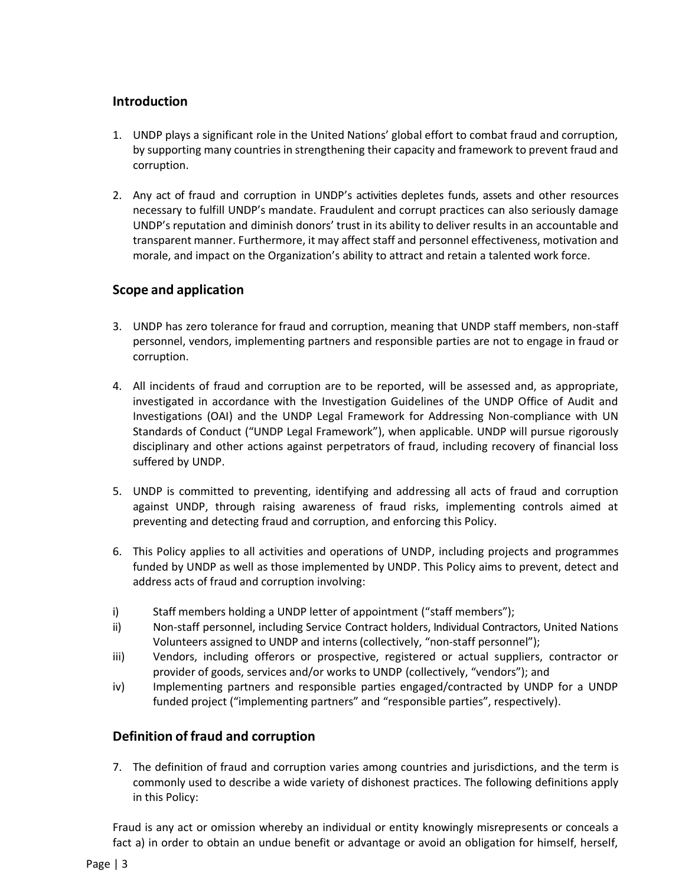## <span id="page-2-0"></span>**Introduction**

- 1. UNDP plays a significant role in the United Nations' global effort to combat fraud and corruption, by supporting many countries in strengthening their capacity and framework to prevent fraud and corruption.
- 2. Any act of fraud and corruption in UNDP's activities depletes funds, assets and other resources necessary to fulfill UNDP's mandate. Fraudulent and corrupt practices can also seriously damage UNDP's reputation and diminish donors' trust in its ability to deliver results in an accountable and transparent manner. Furthermore, it may affect staff and personnel effectiveness, motivation and morale, and impact on the Organization's ability to attract and retain a talented work force.

## <span id="page-2-1"></span>**Scope and application**

- 3. UNDP has zero tolerance for fraud and corruption, meaning that UNDP staff members, non-staff personnel, vendors, implementing partners and responsible parties are not to engage in fraud or corruption.
- 4. All incidents of fraud and corruption are to be reported, will be assessed and, as appropriate, investigated in accordance with the Investigation Guidelines of the UNDP Office of Audit and Investigations (OAI) and the UNDP Legal Framework for Addressing Non-compliance with UN Standards of Conduct ("UNDP Legal Framework"), when applicable. UNDP will pursue rigorously disciplinary and other actions against perpetrators of fraud, including recovery of financial loss suffered by UNDP.
- 5. UNDP is committed to preventing, identifying and addressing all acts of fraud and corruption against UNDP, through raising awareness of fraud risks, implementing controls aimed at preventing and detecting fraud and corruption, and enforcing this Policy.
- 6. This Policy applies to all activities and operations of UNDP, including projects and programmes funded by UNDP as well as those implemented by UNDP. This Policy aims to prevent, detect and address acts of fraud and corruption involving:
- i) Staff members holding a UNDP letter of appointment ("staff members");
- ii) Non-staff personnel, including Service Contract holders, Individual Contractors, United Nations Volunteers assigned to UNDP and interns (collectively, "non-staff personnel");
- iii) Vendors, including offerors or prospective, registered or actual suppliers, contractor or provider of goods, services and/or works to UNDP (collectively, "vendors"); and
- iv) Implementing partners and responsible parties engaged/contracted by UNDP for a UNDP funded project ("implementing partners" and "responsible parties", respectively).

## <span id="page-2-2"></span>**Definition of fraud and corruption**

7. The definition of fraud and corruption varies among countries and jurisdictions, and the term is commonly used to describe a wide variety of dishonest practices. The following definitions apply in this Policy:

Fraud is any act or omission whereby an individual or entity knowingly misrepresents or conceals a fact a) in order to obtain an undue benefit or advantage or avoid an obligation for himself, herself,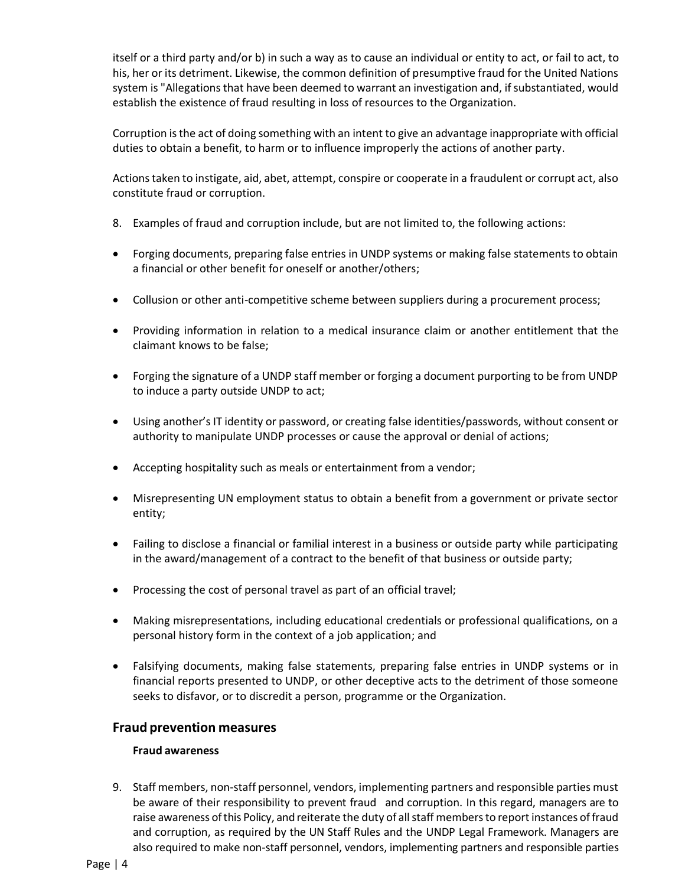itself or a third party and/or b) in such a way as to cause an individual or entity to act, or fail to act, to his, her or its detriment. Likewise, the common definition of presumptive fraud for the United Nations system is "Allegations that have been deemed to warrant an investigation and, if substantiated, would establish the existence of fraud resulting in loss of resources to the Organization.

Corruption is the act of doing something with an intent to give an advantage inappropriate with official duties to obtain a benefit, to harm or to influence improperly the actions of another party.

Actions taken to instigate, aid, abet, attempt, conspire or cooperate in a fraudulent or corrupt act, also constitute fraud or corruption.

- 8. Examples of fraud and corruption include, but are not limited to, the following actions:
- Forging documents, preparing false entries in UNDP systems or making false statements to obtain a financial or other benefit for oneself or another/others;
- Collusion or other anti-competitive scheme between suppliers during a procurement process;
- Providing information in relation to a medical insurance claim or another entitlement that the claimant knows to be false;
- Forging the signature of a UNDP staff member or forging a document purporting to be from UNDP to induce a party outside UNDP to act;
- Using another's IT identity or password, or creating false identities/passwords, without consent or authority to manipulate UNDP processes or cause the approval or denial of actions;
- Accepting hospitality such as meals or entertainment from a vendor;
- Misrepresenting UN employment status to obtain a benefit from a government or private sector entity;
- Failing to disclose a financial or familial interest in a business or outside party while participating in the award/management of a contract to the benefit of that business or outside party;
- Processing the cost of personal travel as part of an official travel;
- Making misrepresentations, including educational credentials or professional qualifications, on a personal history form in the context of a job application; and
- Falsifying documents, making false statements, preparing false entries in UNDP systems or in financial reports presented to UNDP, or other deceptive acts to the detriment of those someone seeks to disfavor, or to discredit a person, programme or the Organization.

## <span id="page-3-0"></span>**Fraud prevention measures**

#### **Fraud awareness**

9. Staff members, non-staff personnel, vendors, implementing partners and responsible parties must be aware of their responsibility to prevent fraud and corruption. In this regard, managers are to raise awareness of this Policy, and reiterate the duty of all staff members to report instances of fraud and corruption, as required by the UN Staff Rules and the UNDP Legal Framework. Managers are also required to make non-staff personnel, vendors, implementing partners and responsible parties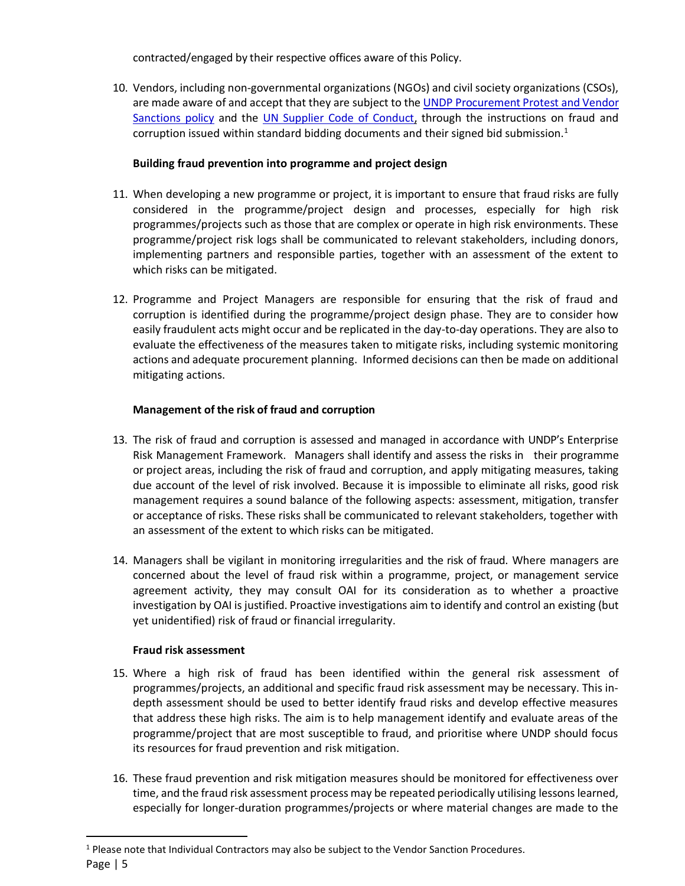contracted/engaged by their respective offices aware of this Policy.

10. Vendors, including non-governmental organizations (NGOs) and civil society organizations (CSOs), are made aware of and accept that they are subject to th[e UNDP Procurement Protest and Vendor](http://www.undp.org/content/undp/en/home/procurement/business/protest-and-sanctions.html)  [Sanctions](http://www.undp.org/content/undp/en/home/procurement/business/protest-and-sanctions.html) policy and the [UN Supplier Code of Conduct,](https://www.un.org/Depts/ptd/about-us/un-supplier-code-conduct) through the instructions on fraud and corruption issued within standard bidding documents and their signed bid submission.<sup>1</sup>

## **Building fraud prevention into programme and project design**

- 11. When developing a new programme or project, it is important to ensure that fraud risks are fully considered in the programme/project design and processes, especially for high risk programmes/projects such as those that are complex or operate in high risk environments. These programme/project risk logs shall be communicated to relevant stakeholders, including donors, implementing partners and responsible parties, together with an assessment of the extent to which risks can be mitigated.
- 12. Programme and Project Managers are responsible for ensuring that the risk of fraud and corruption is identified during the programme/project design phase. They are to consider how easily fraudulent acts might occur and be replicated in the day-to-day operations. They are also to evaluate the effectiveness of the measures taken to mitigate risks, including systemic monitoring actions and adequate procurement planning. Informed decisions can then be made on additional mitigating actions.

## **Management of the risk of fraud and corruption**

- 13. The risk of fraud and corruption is assessed and managed in accordance with UNDP's [Enterprise](https://intranet.undp.org/global/popp/rma/Pages/enterprise-risk-management-cycle.aspx)  [Risk Management](https://intranet.undp.org/global/popp/rma/Pages/enterprise-risk-management-cycle.aspx) Framework. Managers shall identify and assess the risks in their programme or project areas, including the risk of fraud and corruption, and apply mitigating measures, taking due account of the level of risk involved. Because it is impossible to eliminate all risks, good risk management requires a sound balance of the following aspects: assessment, mitigation, transfer or acceptance of risks. These risks shall be communicated to relevant stakeholders, together with an assessment of the extent to which risks can be mitigated.
- 14. Managers shall be vigilant in monitoring irregularities and the risk of fraud. Where managers are concerned about the level of fraud risk within a programme, project, or management service agreement activity, they may consult OAI for its consideration as to whether a proactive investigation by OAI is justified. Proactive investigations aim to identify and control an existing (but yet unidentified) risk of fraud or financial irregularity.

## **Fraud risk assessment**

 $\overline{a}$ 

- 15. Where a high risk of fraud has been identified within the general risk assessment of programmes/projects, an additional and specific fraud risk assessment may be necessary. This indepth assessment should be used to better identify fraud risks and develop effective measures that address these high risks. The aim is to help management identify and evaluate areas of the programme/project that are most susceptible to fraud, and prioritise where UNDP should focus its resources for fraud prevention and risk mitigation.
- 16. These fraud prevention and risk mitigation measures should be monitored for effectiveness over time, and the fraud risk assessment process may be repeated periodically utilising lessons learned, especially for longer-duration programmes/projects or where material changes are made to the

Page | 5 <sup>1</sup> Please note that Individual Contractors may also be subject to the Vendor Sanction Procedures.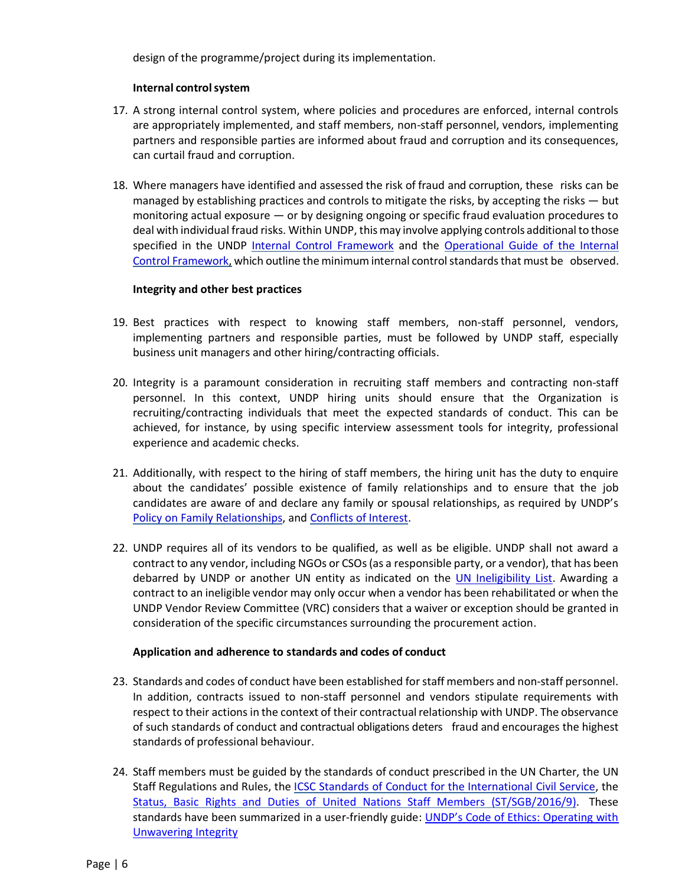design of the programme/project during its implementation.

#### **Internal controlsystem**

- 17. A strong internal control system, where policies and procedures are enforced, internal controls are appropriately implemented, and staff members, non-staff personnel, vendors, implementing partners and responsible parties are informed about fraud and corruption and its consequences, can curtail fraud and corruption.
- 18. Where managers have identified and assessed the risk of fraud and corruption, these risks can be managed by establishing practices and controls to mitigate the risks, by accepting the risks — but monitoring actual exposure — or by designing ongoing or specific fraud evaluation procedures to deal with individual fraud risks. Within UNDP, this may involve applying controls additional to those specified in the UNDP [Internal Control Framework](https://popp.undp.org/SitePages/POPPSubject.aspx?SBJID=7&Menu=BusinessUnit&Beta=0) and the [Operational Guide of the Internal](https://popp.undp.org/SitePages/POPPSubject.aspx?SBJID=7&Menu=BusinessUnit&Beta=0)  [Control Framework,](https://popp.undp.org/SitePages/POPPSubject.aspx?SBJID=7&Menu=BusinessUnit&Beta=0) which outline the minimum internal control standards that must be observed.

#### **Integrity and other best practices**

- 19. Best practices with respect to knowing staff members, non-staff personnel, vendors, implementing partners and responsible parties, must be followed by UNDP staff, especially business unit managers and other hiring/contracting officials.
- 20. Integrity is a paramount consideration in recruiting staff members and contracting non-staff personnel. In this context, UNDP hiring units should ensure that the Organization is recruiting/contracting individuals that meet the expected standards of conduct. This can be achieved, for instance, by using specific interview assessment tools for integrity, professional experience and academic checks.
- 21. Additionally, with respect to the hiring of staff members, the hiring unit has the duty to enquire about the candidates' possible existence of family relationships and to ensure that the job candidates are aware of and declare any family or spousal relationships, as required by UNDP's [Policy on Family Relationships, and Conflicts of Interest.](http://content.undp.org/go/prescriptive/Human-Resources---Prescriptive-Content/download/?d_id=2069025)
- 22. UNDP requires all of its vendors to be qualified, as well as be eligible. UNDP shall not award a contract to any vendor, including NGOs or CSOs (as a responsible party, or a vendor), that has been debarred by UNDP or another UN entity as indicated on the *UN Ineligibility List*. Awarding a contract to an ineligible vendor may only occur when a vendor has been rehabilitated or when the UNDP Vendor Review Committee (VRC) considers that a waiver or exception should be granted in consideration of the specific circumstances surrounding the procurement action.

#### **Application and adherence to standards and codes of conduct**

- 23. Standards and codes of conduct have been established for staff members and non-staff personnel. In addition, contracts issued to non-staff personnel and vendors stipulate requirements with respect to their actions in the context of their contractual relationship with UNDP. The observance of such standards of conduct and contractual obligations deters fraud and encourages the highest standards of professional behaviour.
- 24. Staff members must be guided by the standards of conduct prescribed in the UN Charter, the UN Staff Regulations and Rules, the ICSC Standards of Conduct for the International Civil Service, the [Status, Basic Rights and Duties of United Nations Staff Members \(ST/SGB/2016/9\).](https://undocs.org/ST/SGB/2016/9) These standards have been summarized in a user-friendly guide: UNDP's Code of Ethics: Operating with [Unwavering Integrity](https://intranet.undp.org/_layouts/15/WopiFrame.aspx?sourcedoc=/SiteAssets/UNDP%20Code%20of%20Ethics/UNDP%E2%80%99s%20first%20Code%20of%20Ethics%20%E2%80%93%20Operating%20with%20Unwavering%20Integrity.pdf&action=default)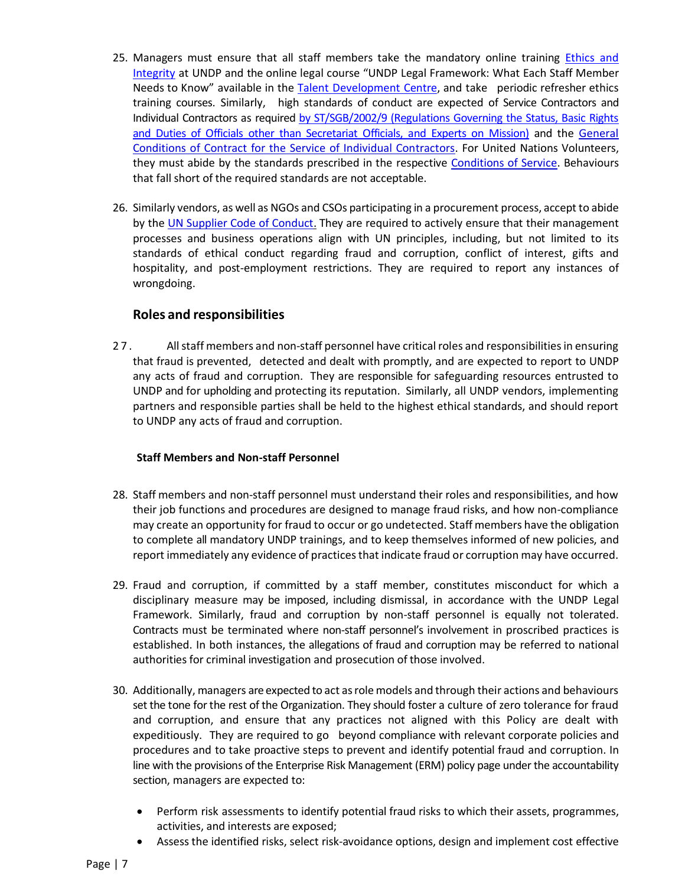- 25. Managers must ensure that all staff members take the mandatory online training Ethics and [Integrity](https://intranet.undp.org/unit/office/ethics/training/default.aspx) at UNDP and the online legal course "UNDP Legal Framework: What Each Staff Member Needs to Know" available in the [Talent Development Centre,](https://unatlas.learn.taleo.net/learncenter.asp?id=%31%37%38%34%31%30&sessionid=3-9614039C-52EC-46C9-A73A-E349E3D92D2F&page=1) and take periodic refresher ethics training courses. Similarly, high standards of conduct are expected of Service Contractors and Individual Contractors as required [by ST/SGB/2002/9 \(Regulations Governing the Status, Basic Rights](https://undocs.org/ST/SGB/2002/9)  [and Duties of Officials other than Secretariat Officials, and Experts on Mission\)](https://undocs.org/ST/SGB/2002/9) and the [General](https://popp.undp.org/_Layouts/15/POPPOpenDoc.aspx?ID=POPP-11-1909)  [Conditions of Contract for the Service of Individual Contractors.](https://popp.undp.org/_Layouts/15/POPPOpenDoc.aspx?ID=POPP-11-1909) For United Nations Volunteers, they must abide by the standards prescribed in the respective [Conditions of Service.](https://www.unv.org/publications/overview-unv-conditions-service-national-un-volunteers) Behaviours that fall short of the required standards are not acceptable.
- 26. Similarly vendors, as well as NGOs and CSOs participating in a procurement process, accept to abide by the [UN Supplier Code of Conduct.](https://www.un.org/Depts/ptd/about-us/un-supplier-code-conduct) They are required to actively ensure that their management processes and business operations align with UN principles, including, but not limited to its standards of ethical conduct regarding fraud and corruption, conflict of interest, gifts and hospitality, and post-employment restrictions. They are required to report any instances of wrongdoing.

## **Roles and responsibilities**

<span id="page-6-0"></span>27. All staff members and non-staff personnel have critical roles and responsibilities in ensuring that fraud is prevented, detected and dealt with promptly, and are expected to report to UNDP any acts of fraud and corruption. They are responsible for safeguarding resources entrusted to UNDP and for upholding and protecting its reputation. Similarly, all UNDP vendors, implementing partners and responsible parties shall be held to the highest ethical standards, and should report to UNDP any acts of fraud and corruption.

## **Staff Members and Non-staff Personnel**

- 28. Staff members and non-staff personnel must understand their roles and responsibilities, and how their job functions and procedures are designed to manage fraud risks, and how non-compliance may create an opportunity for fraud to occur or go undetected. Staff members have the obligation to complete all mandatory UNDP trainings, and to keep themselves informed of new policies, and report immediately any evidence of practices that indicate fraud or corruption may have occurred.
- 29. Fraud and corruption, if committed by a staff member, constitutes misconduct for which a disciplinary measure may be imposed, including dismissal, in accordance with the UNDP Legal Framework. Similarly, fraud and corruption by non-staff personnel is equally not tolerated. Contracts must be terminated where non-staff personnel's involvement in proscribed practices is established. In both instances, the allegations of fraud and corruption may be referred to national authorities for criminal investigation and prosecution of those involved.
- 30. Additionally, managers are expected to act asrolemodels and through their actions and behaviours set the tone for the rest of the Organization. They should foster a culture of zero tolerance for fraud and corruption, and ensure that any practices not aligned with this Policy are dealt with expeditiously. They are required to go beyond compliance with relevant corporate policies and procedures and to take proactive steps to prevent and identify potential fraud and corruption. In line with the provisions of the Enterprise Risk Management (ERM) policy page under the accountability section, managers are expected to:
	- Perform risk assessments to identify potential fraud risks to which their assets, programmes, activities, and interests are exposed;
	- Assess the identified risks, select risk-avoidance options, design and implement cost effective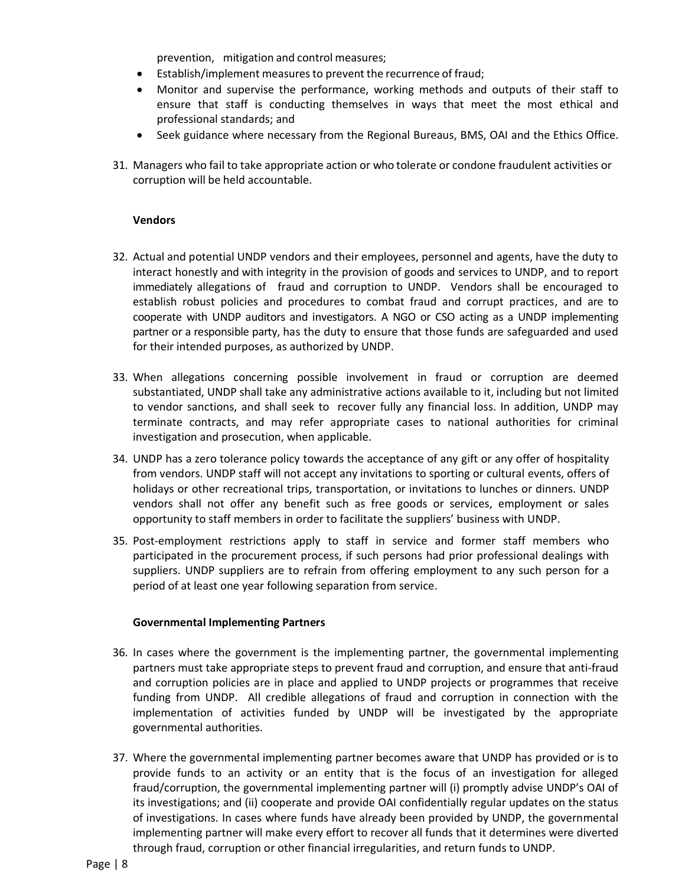prevention, mitigation and control measures;

- Establish/implement measuresto prevent the recurrence of fraud;
- Monitor and supervise the performance, working methods and outputs of their staff to ensure that staff is conducting themselves in ways that meet the most ethical and professional standards; and
- Seek guidance where necessary from the Regional Bureaus, BMS, OAI and the Ethics Office.
- 31. Managers who fail to take appropriate action or who tolerate or condone fraudulent activities or corruption will be held accountable.

#### **Vendors**

- 32. Actual and potential UNDP vendors and their employees, personnel and agents, have the duty to interact honestly and with integrity in the provision of goods and services to UNDP, and to report immediately allegations of fraud and corruption to UNDP. Vendors shall be encouraged to establish robust policies and procedures to combat fraud and corrupt practices, and are to cooperate with UNDP auditors and investigators. A NGO or CSO acting as a UNDP implementing partner or a responsible party, has the duty to ensure that those funds are safeguarded and used for their intended purposes, as authorized by UNDP.
- 33. When allegations concerning possible involvement in fraud or corruption are deemed substantiated, UNDP shall take any administrative actions available to it, including but not limited to vendor sanctions, and shall seek to recover fully any financial loss. In addition, UNDP may terminate contracts, and may refer appropriate cases to national authorities for criminal investigation and prosecution, when applicable.
- 34. UNDP has a zero tolerance policy towards the acceptance of any gift or any offer of hospitality from vendors. UNDP staff will not accept any invitations to sporting or cultural events, offers of holidays or other recreational trips, transportation, or invitations to lunches or dinners. UNDP vendors shall not offer any benefit such as free goods or services, employment or sales opportunity to staff members in order to facilitate the suppliers' business with UNDP.
- 35. Post-employment restrictions apply to staff in service and former staff members who participated in the procurement process, if such persons had prior professional dealings with suppliers. UNDP suppliers are to refrain from offering employment to any such person for a period of at least one year following separation from service.

#### **Governmental Implementing Partners**

- 36. In cases where the government is the implementing partner, the governmental implementing partners must take appropriate steps to prevent fraud and corruption, and ensure that anti-fraud and corruption policies are in place and applied to UNDP projects or programmes that receive funding from UNDP. All credible allegations of fraud and corruption in connection with the implementation of activities funded by UNDP will be investigated by the appropriate governmental authorities.
- 37. Where the governmental implementing partner becomes aware that UNDP has provided or is to provide funds to an activity or an entity that is the focus of an investigation for alleged fraud/corruption, the governmental implementing partner will (i) promptly advise UNDP's OAI of its investigations; and (ii) cooperate and provide OAI confidentially regular updates on the status of investigations. In cases where funds have already been provided by UNDP, the governmental implementing partner will make every effort to recover all funds that it determines were diverted through fraud, corruption or other financial irregularities, and return funds to UNDP.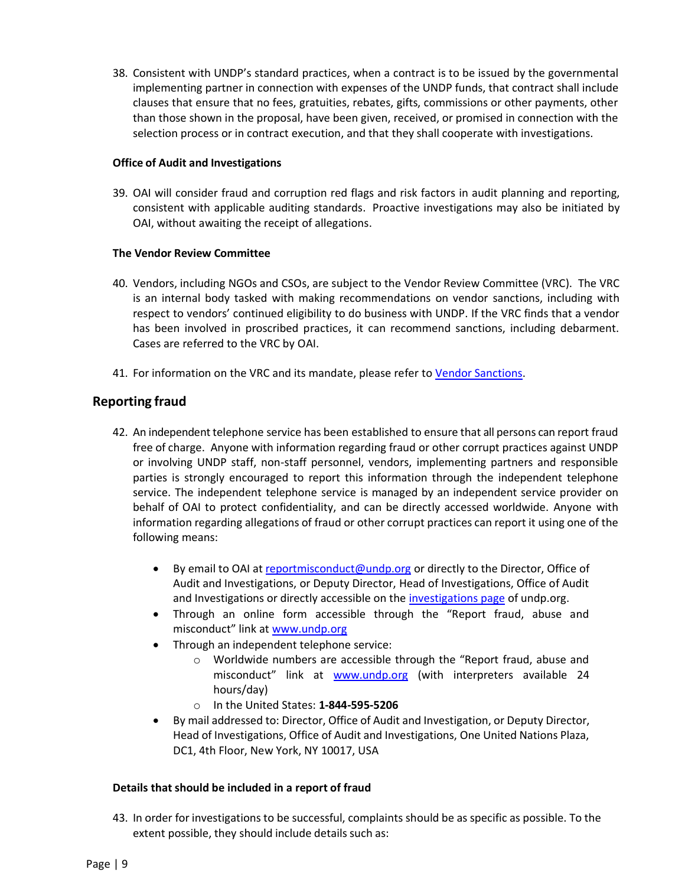38. Consistent with UNDP's standard practices, when a contract is to be issued by the governmental implementing partner in connection with expenses of the UNDP funds, that contract shall include clauses that ensure that no fees, gratuities, rebates, gifts, commissions or other payments, other than those shown in the proposal, have been given, received, or promised in connection with the selection process or in contract execution, and that they shall cooperate with investigations.

#### **Office of Audit and Investigations**

39. OAI will consider fraud and corruption red flags and risk factors in audit planning and reporting, consistent with applicable auditing standards. Proactive investigations may also be initiated by OAI, without awaiting the receipt of allegations.

#### **The Vendor Review Committee**

- 40. Vendors, including NGOs and CSOs, are subject to the Vendor Review Committee (VRC). The VRC is an internal body tasked with making recommendations on vendor sanctions, including with respect to vendors' continued eligibility to do business with UNDP. If the VRC finds that a vendor has been involved in proscribed practices, it can recommend sanctions, including debarment. Cases are referred to the VRC by OAI.
- 41. For information on the VRC and its mandate, please refer to [Vendor Sanctions.](https://popp.undp.org/_layouts/15/WopiFrame.aspx?sourcedoc=/UNDP_POPP_DOCUMENT_LIBRARY/Public/PSU_Sourcing%20of%20Suppliers_Vendor%20Sanctions.docx&action=default&DefaultItemOpen=1)

## <span id="page-8-0"></span>**Reporting fraud**

- 42. An independent telephone service has been established to ensure that all persons can report fraud free of charge. Anyone with information regarding fraud or other corrupt practices against UNDP or involving UNDP staff, non-staff personnel, vendors, implementing partners and responsible parties is strongly encouraged to report this information through the independent telephone service. The independent telephone service is managed by an independent service provider on behalf of OAI to protect confidentiality, and can be directly accessed worldwide. Anyone with information regarding allegations of fraud or other corrupt practices can report it using one of the following means:
	- **•** By email to OAI a[t reportmisconduct@undp.org](mailto:reportmisconduct@undp.org) or directly to the Director, Office of Audit and Investigations, or Deputy Director, Head of Investigations, Office of Audit and Investigations or directly accessible on th[e investigations page](http://www.undp.org/content/undp/en/home/accountability/audit/office-of-audit-and-investigation.html#report) of undp.org.
	- Through an online form accessible through the "Report fraud, abuse and misconduct" link at [www.undp.org](http://www.undp.org/)
	- Through an independent telephone service:
		- o Worldwide numbers are accessible through the "Report fraud, abuse and misconduct" link at [www.undp.org](http://www.undp.org/) (with interpreters available 24 hours/day)
		- o In the United States: **1-844-595-5206**
	- By mail addressed to: Director, Office of Audit and Investigation, or Deputy Director, Head of Investigations, Office of Audit and Investigations, One United Nations Plaza, DC1, 4th Floor, New York, NY 10017, USA

#### **Details that should be included in a report of fraud**

43. In order for investigations to be successful, complaints should be as specific as possible. To the extent possible, they should include details such as: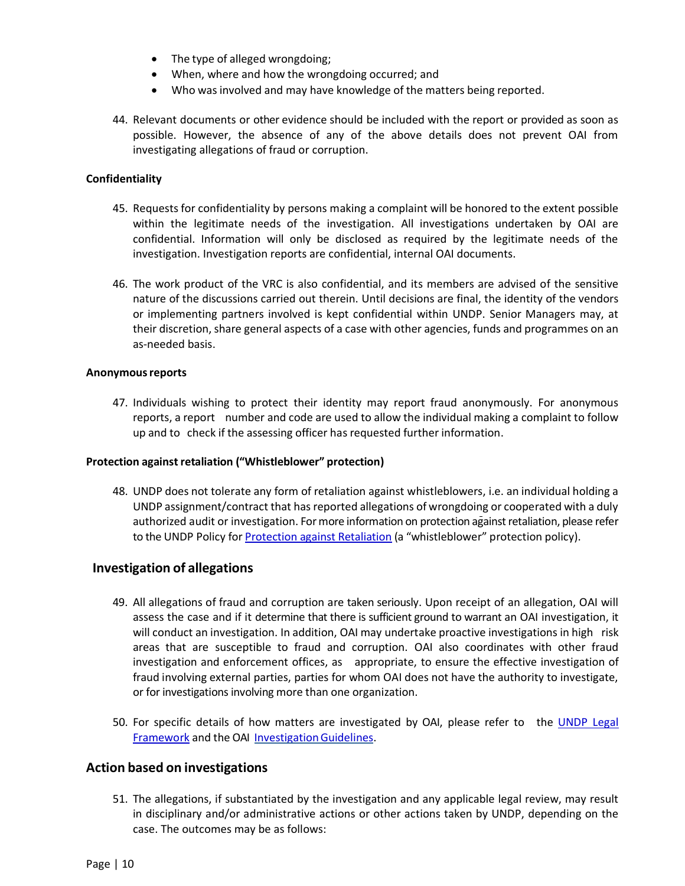- The type of alleged wrongdoing;
- When, where and how the wrongdoing occurred; and
- Who was involved and may have knowledge of the matters being reported.
- 44. Relevant documents or other evidence should be included with the report or provided as soon as possible. However, the absence of any of the above details does not prevent OAI from investigating allegations of fraud or corruption.

#### **Confidentiality**

- 45. Requests for confidentiality by persons making a complaint will be honored to the extent possible within the legitimate needs of the investigation. All investigations undertaken by OAI are confidential. Information will only be disclosed as required by the legitimate needs of the investigation. Investigation reports are confidential, internal OAI documents.
- 46. The work product of the VRC is also confidential, and its members are advised of the sensitive nature of the discussions carried out therein. Until decisions are final, the identity of the vendors or implementing partners involved is kept confidential within UNDP. Senior Managers may, at their discretion, share general aspects of a case with other agencies, funds and programmes on an as-needed basis.

#### **Anonymousreports**

47. Individuals wishing to protect their identity may report fraud anonymously. For anonymous reports, a report number and code are used to allow the individual making a complaint to follow up and to check if the assessing officer has requested further information.

#### **Protection against retaliation ("Whistleblower" protection)**

48. UNDP does not tolerate any form of retaliation against whistleblowers, i.e. an individual holding a UNDP assignment/contract that has reported allegations of wrongdoing or cooperated with a duly authorized audit or investigation. For more information on protection against retaliation, please refer to the UNDP Policy for [Protection against Retaliation](https://popp.undp.org/SitePages/POPPSubject.aspx?SBJID=5&Menu=BusinessUnit&Beta=0) (a "whistleblower" protection policy).

#### <span id="page-9-0"></span>**Investigation of allegations**

- 49. All allegations of fraud and corruption are taken seriously. Upon receipt of an allegation, OAI will assess the case and if it determine that there is sufficient ground to warrant an OAI investigation, it will conduct an investigation. In addition, OAI may undertake proactive investigations in high risk areas that are susceptible to fraud and corruption. OAI also coordinates with other fraud investigation and enforcement offices, as appropriate, to ensure the effective investigation of fraud involving external parties, parties for whom OAI does not have the authority to investigate, or for investigations involving more than one organization.
- 50. For specific details of how matters are investigated by OAI, please refer to the UNDP Legal [Framework](https://intranet.undp.org/unit/oolts/lso/_layouts/15/WopiFrame.aspx?sourcedoc=/unit/oolts/lso/UNDP%20Legal%20Framework2018/Legal%20Framework%20%20-%20March%202018.docx&action=default) and the OAI Investigation Guidelines.

#### <span id="page-9-1"></span>**Action based on investigations**

51. The allegations, if substantiated by the investigation and any applicable legal review, may result in disciplinary and/or administrative actions or other actions taken by UNDP, depending on the case. The outcomes may be as follows: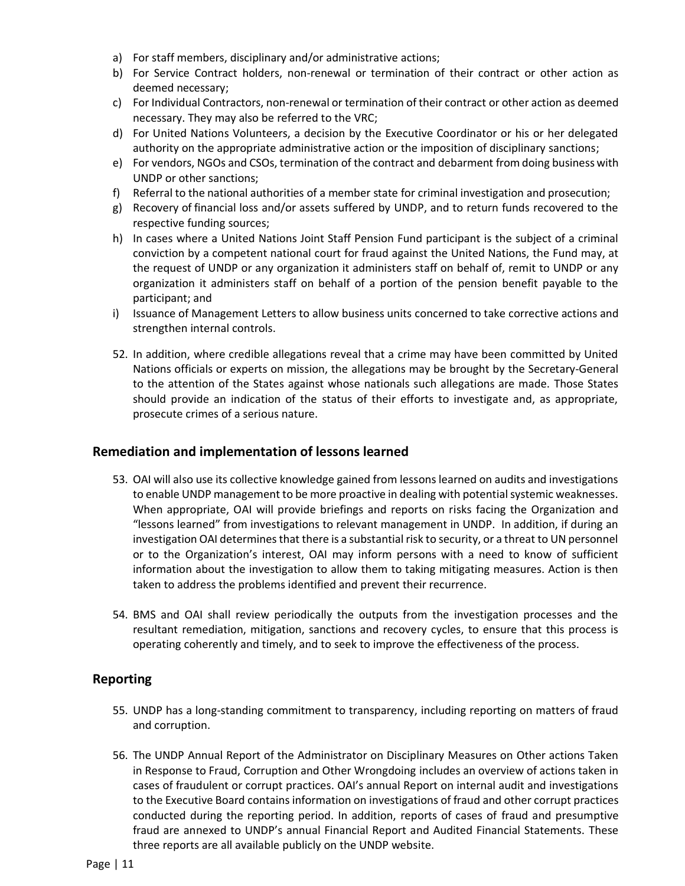- a) For staff members, disciplinary and/or administrative actions;
- b) For Service Contract holders, non-renewal or termination of their contract or other action as deemed necessary;
- c) For Individual Contractors, non-renewal or termination of their contract or other action as deemed necessary. They may also be referred to the VRC;
- d) For United Nations Volunteers, a decision by the Executive Coordinator or his or her delegated authority on the appropriate administrative action or the imposition of disciplinary sanctions;
- e) For vendors, NGOs and CSOs, termination of the contract and debarment fromdoing business with UNDP or other sanctions;
- f) Referral to the national authorities of a member state for criminal investigation and prosecution;
- g) Recovery of financial loss and/or assets suffered by UNDP, and to return funds recovered to the respective funding sources;
- h) In cases where a United Nations Joint Staff Pension Fund participant is the subject of a criminal conviction by a competent national court for fraud against the United Nations, the Fund may, at the request of UNDP or any organization it administers staff on behalf of, remit to UNDP or any organization it administers staff on behalf of a portion of the pension benefit payable to the participant; and
- i) Issuance of Management Letters to allow business units concerned to take corrective actions and strengthen internal controls.
- 52. In addition, where credible allegations reveal that a crime may have been committed by United Nations officials or experts on mission, the allegations may be brought by the Secretary-General to the attention of the States against whose nationals such allegations are made. Those States should provide an indication of the status of their efforts to investigate and, as appropriate, prosecute crimes of a serious nature.

## <span id="page-10-0"></span>**Remediation and implementation of lessons learned**

- 53. OAI will also use its collective knowledge gained from lessons learned on audits and investigations to enable UNDP management to be more proactive in dealing with potential systemic weaknesses. When appropriate, OAI will provide briefings and reports on risks facing the Organization and "lessons learned" from investigations to relevant management in UNDP. In addition, if during an investigation OAI determines that there is a substantial risk to security, or a threat to UN personnel or to the Organization's interest, OAI may inform persons with a need to know of sufficient information about the investigation to allow them to taking mitigating measures. Action is then taken to address the problems identified and prevent their recurrence.
- 54. BMS and OAI shall review periodically the outputs from the investigation processes and the resultant remediation, mitigation, sanctions and recovery cycles, to ensure that this process is operating coherently and timely, and to seek to improve the effectiveness of the process.

## <span id="page-10-1"></span>**Reporting**

- 55. UNDP has a long-standing commitment to transparency, including reporting on matters of fraud and corruption.
- 56. The UNDP Annual Report of the Administrator on Disciplinary Measures on Other actions Taken in Response to Fraud, Corruption and Other Wrongdoing includes an overview of actions taken in cases of fraudulent or corrupt practices. OAI's annual Report on internal audit and investigations to the Executive Board contains information on investigations of fraud and other corrupt practices conducted during the reporting period. In addition, reports of cases of fraud and presumptive fraud are annexed to UNDP's annual Financial Report and Audited Financial Statements. These three reports are all available publicly on the UNDP website.